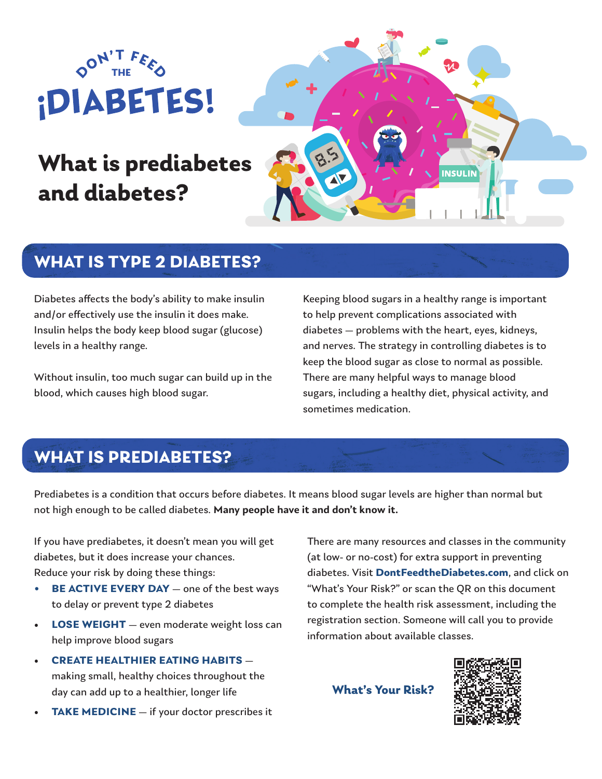

# **What is prediabetes and diabetes?**



#### **WHAT IS TYPE 2 DIABETES?**

Diabetes affects the body's ability to make insulin and/or effectively use the insulin it does make. Insulin helps the body keep blood sugar (glucose) levels in a healthy range.

Without insulin, too much sugar can build up in the blood, which causes high blood sugar.

Keeping blood sugars in a healthy range is important to help prevent complications associated with diabetes — problems with the heart, eyes, kidneys, and nerves. The strategy in controlling diabetes is to keep the blood sugar as close to normal as possible. There are many helpful ways to manage blood sugars, including a healthy diet, physical activity, and sometimes medication.

## **WHAT IS PREDIABETES?**

Prediabetes is a condition that occurs before diabetes. It means blood sugar levels are higher than normal but not high enough to be called diabetes. **Many people have it and don't know it.** 

If you have prediabetes, it doesn't mean you will get diabetes, but it does increase your chances. Reduce your risk by doing these things:

- **• BE ACTIVE EVERY DAY** one of the best ways to delay or prevent type 2 diabetes
- **LOSE WEIGHT** even moderate weight loss can help improve blood sugars
- **CREATE HEALTHIER EATING HABITS** making small, healthy choices throughout the day can add up to a healthier, longer life
- **TAKE MEDICINE** if your doctor prescribes it

There are many resources and classes in the community (at low- or no-cost) for extra support in preventing diabetes. Visit **DontFeedtheDiabetes.com**, and click on "What's Your Risk?" or scan the QR on this document to complete the health risk assessment, including the registration section. Someone will call you to provide information about available classes.

**What's Your Risk?**